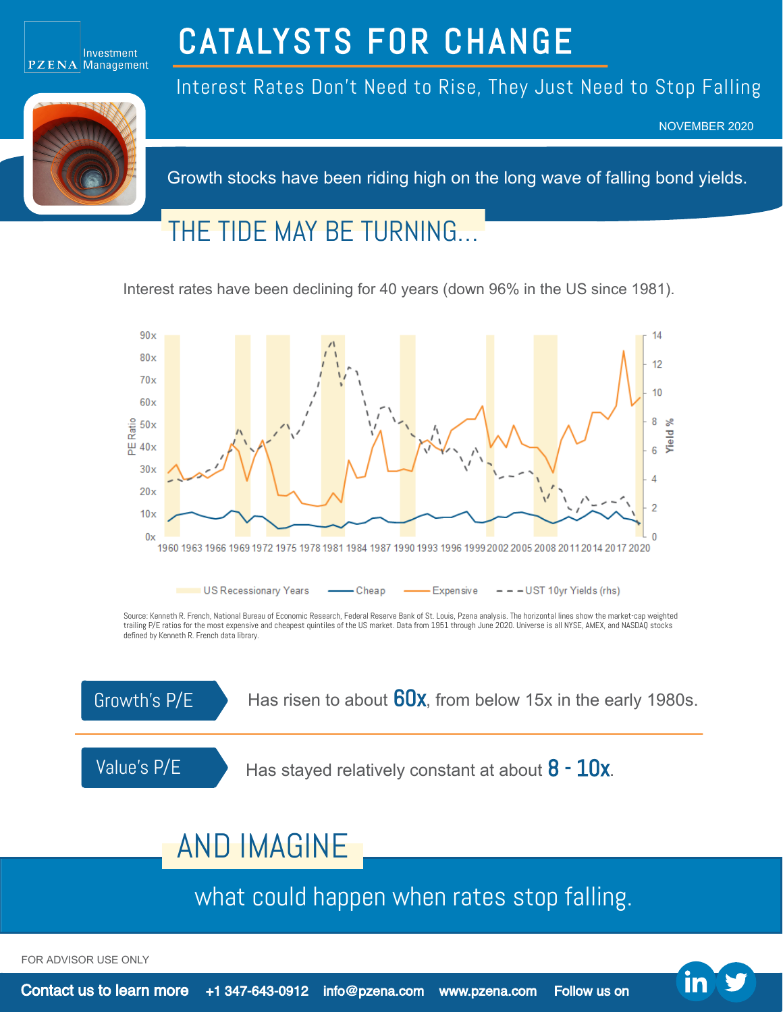

# CATALYSTS FOR CHANGE



Interest Rates Don't Need to Rise, They Just Need to Stop Falling

NOVEMBER 2020

Growth stocks have been riding high on the long wave of falling bond yields.

### THE TIDE MAY BE TURNING…

Interest rates have been declining for 40 years (down 96% in the US since 1981).



Source: Kenneth R. French, National Bureau of Economic Research, Federal Reserve Bank of St. Louis, Pzena analysis. The horizontal lines show the market-cap weighted trailing P/E ratios for the most expensive and cheapest quintiles of the US market. Data from 1951 through June 2020. Universe is all NYSE, AMEX, and NASDAQ stocks defined by Kenneth R. French data library.



Growth's  $P/E$  Has risen to about  $60x$ , from below 15x in the early 1980s.

Value's  $P/E$  Has stayed relatively constant at about  $8 - 10x$ .

## AND IMAGINE

what could happen when rates stop falling.

FOR ADVISOR USE ONLY